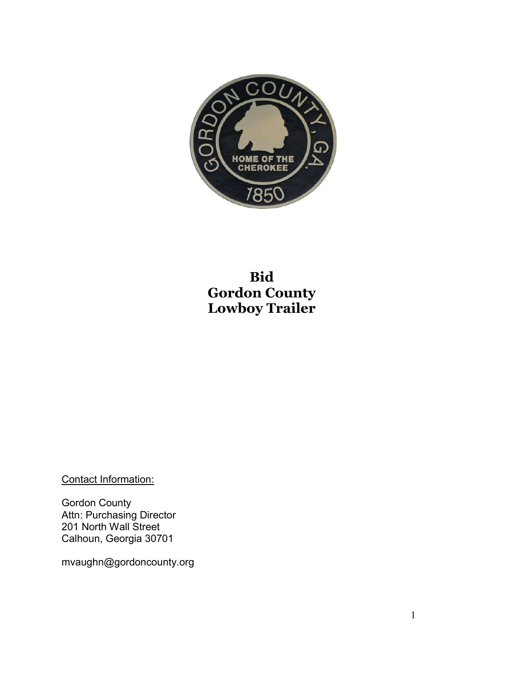

# **Bid Gordon County Lowboy Trailer**

Contact Information:

Gordon County Attn: Purchasing Director 201 North Wall Street Calhoun, Georgia 30701

mvaughn@gordoncounty.org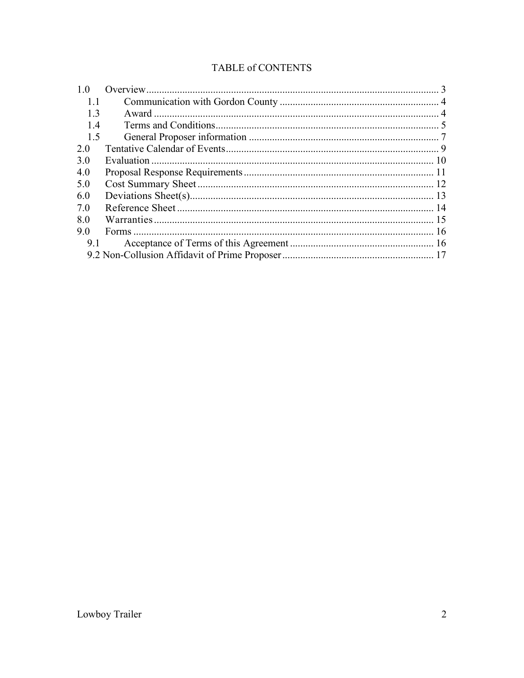## TABLE of CONTENTS

| 1.0 |  |  |
|-----|--|--|
| 1.1 |  |  |
| 13  |  |  |
| 14  |  |  |
| 1.5 |  |  |
| 2 0 |  |  |
| 3.0 |  |  |
| 4.0 |  |  |
| 5.0 |  |  |
| 6.0 |  |  |
| 7 O |  |  |
| 8.0 |  |  |
| 90  |  |  |
| 9.1 |  |  |
|     |  |  |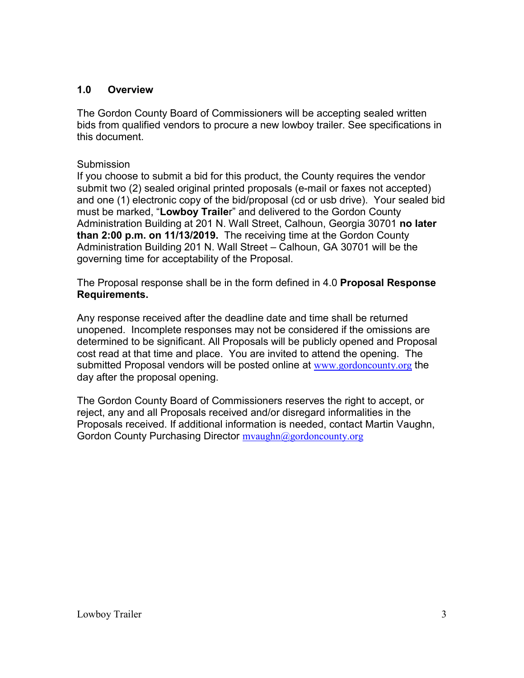### **1.0 Overview**

The Gordon County Board of Commissioners will be accepting sealed written bids from qualified vendors to procure a new lowboy trailer. See specifications in this document.

#### **Submission**

If you choose to submit a bid for this product, the County requires the vendor submit two (2) sealed original printed proposals (e-mail or faxes not accepted) and one (1) electronic copy of the bid/proposal (cd or usb drive). Your sealed bid must be marked, "**Lowboy Traile**r" and delivered to the Gordon County Administration Building at 201 N. Wall Street, Calhoun, Georgia 30701 **no later than 2:00 p.m. on 11/13/2019.** The receiving time at the Gordon County Administration Building 201 N. Wall Street – Calhoun, GA 30701 will be the governing time for acceptability of the Proposal.

The Proposal response shall be in the form defined in 4.0 **Proposal Response Requirements.**

Any response received after the deadline date and time shall be returned unopened. Incomplete responses may not be considered if the omissions are determined to be significant. All Proposals will be publicly opened and Proposal cost read at that time and place. You are invited to attend the opening. The submitted Proposal vendors will be posted online at www.gordoncounty.org the day after the proposal opening.

The Gordon County Board of Commissioners reserves the right to accept, or reject, any and all Proposals received and/or disregard informalities in the Proposals received. If additional information is needed, contact Martin Vaughn, Gordon County Purchasing Director myaughn@gordoncounty.org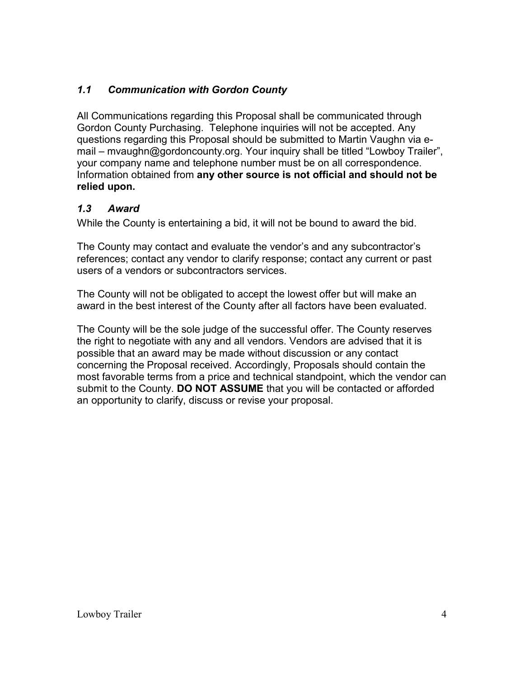## *1.1 Communication with Gordon County*

All Communications regarding this Proposal shall be communicated through Gordon County Purchasing. Telephone inquiries will not be accepted. Any questions regarding this Proposal should be submitted to Martin Vaughn via email – mvaughn@gordoncounty.org. Your inquiry shall be titled "Lowboy Trailer", your company name and telephone number must be on all correspondence. Information obtained from **any other source is not official and should not be relied upon.**

## *1.3 Award*

While the County is entertaining a bid, it will not be bound to award the bid.

The County may contact and evaluate the vendor's and any subcontractor's references; contact any vendor to clarify response; contact any current or past users of a vendors or subcontractors services.

The County will not be obligated to accept the lowest offer but will make an award in the best interest of the County after all factors have been evaluated.

The County will be the sole judge of the successful offer. The County reserves the right to negotiate with any and all vendors. Vendors are advised that it is possible that an award may be made without discussion or any contact concerning the Proposal received. Accordingly, Proposals should contain the most favorable terms from a price and technical standpoint, which the vendor can submit to the County. **DO NOT ASSUME** that you will be contacted or afforded an opportunity to clarify, discuss or revise your proposal.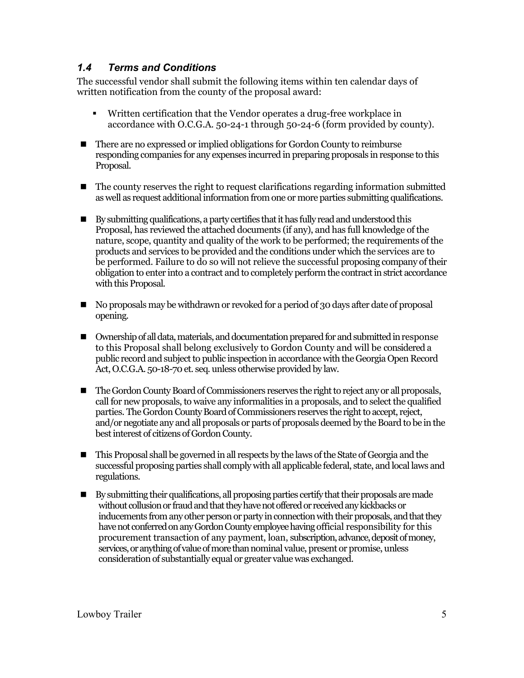## *1.4 Terms and Conditions*

The successful vendor shall submit the following items within ten calendar days of written notification from the county of the proposal award:

- Written certification that the Vendor operates a drug-free workplace in accordance with O.C.G.A. 50-24-1 through 50-24-6 (form provided by county).
- There are no expressed or implied obligations for Gordon County to reimburse responding companies for any expenses incurred in preparing proposals in response to this Proposal.
- The county reserves the right to request clarifications regarding information submitted as well as request additional information from one or more parties submitting qualifications.
- By submitting qualifications, a party certifies that it has fully read and understood this Proposal, has reviewed the attached documents (if any), and has full knowledge of the nature, scope, quantity and quality of the work to be performed; the requirements of the products and services to be provided and the conditions under which the services are to be performed. Failure to do so will not relieve the successful proposing company of their obligation to enter into a contract and to completely perform the contract in strict accordance with this Proposal.
- No proposals may be withdrawn or revoked for a period of 30 days after date of proposal opening.
- Ownership of all data, materials, and documentation prepared for and submitted in response to this Proposal shall belong exclusively to Gordon County and will be considered a public record and subject to public inspection in accordance with the Georgia Open Record Act, O.C.G.A. 50-18-70 et. seq. unless otherwise provided by law.
- The Gordon County Board of Commissioners reserves the right to reject any or all proposals, call for new proposals, to waive any informalities in a proposals, and to select the qualified parties. The Gordon County Board of Commissioners reserves the right to accept, reject, and/or negotiate any and all proposals or parts of proposals deemed by the Board to be in the best interest of citizens of Gordon County.
- This Proposal shall be governed in all respects by the laws of the State of Georgia and the successful proposing parties shall comply with all applicable federal, state, and local laws and regulations.
- By submitting their qualifications, all proposing parties certify that their proposals are made without collusion or fraud and that they have not offered or received any kickbacks or inducements from any other person or party in connection with their proposals, and that they have not conferred on any Gordon County employee having official responsibility for this procurement transaction of any payment, loan, subscription, advance, deposit of money, services, or anything of value of more than nominal value, present or promise, unless consideration of substantially equal or greater value was exchanged.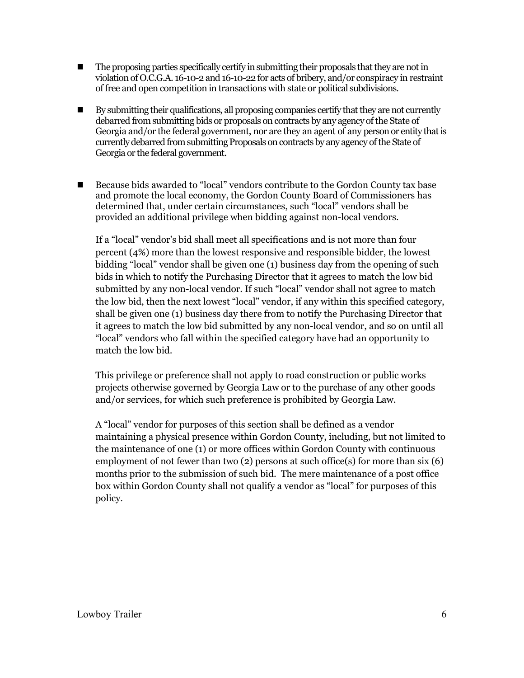- The proposing parties specifically certify in submitting their proposals that they are not in violation of O.C.G.A. 16-10-2 and 16-10-22 for acts of bribery, and/or conspiracy in restraint of free and open competition in transactions with state or political subdivisions.
- By submitting their qualifications, all proposing companies certify that they are not currently debarred from submitting bids or proposals on contracts by any agency of the State of Georgia and/or the federal government, nor are they an agent of any person or entity that is currently debarred from submitting Proposals on contracts by any agency of the State of Georgia or the federal government.
- Because bids awarded to "local" vendors contribute to the Gordon County tax base and promote the local economy, the Gordon County Board of Commissioners has determined that, under certain circumstances, such "local" vendors shall be provided an additional privilege when bidding against non-local vendors.

If a "local" vendor's bid shall meet all specifications and is not more than four percent (4%) more than the lowest responsive and responsible bidder, the lowest bidding "local" vendor shall be given one (1) business day from the opening of such bids in which to notify the Purchasing Director that it agrees to match the low bid submitted by any non-local vendor. If such "local" vendor shall not agree to match the low bid, then the next lowest "local" vendor, if any within this specified category, shall be given one (1) business day there from to notify the Purchasing Director that it agrees to match the low bid submitted by any non-local vendor, and so on until all "local" vendors who fall within the specified category have had an opportunity to match the low bid.

This privilege or preference shall not apply to road construction or public works projects otherwise governed by Georgia Law or to the purchase of any other goods and/or services, for which such preference is prohibited by Georgia Law.

A "local" vendor for purposes of this section shall be defined as a vendor maintaining a physical presence within Gordon County, including, but not limited to the maintenance of one (1) or more offices within Gordon County with continuous employment of not fewer than two (2) persons at such office(s) for more than six (6) months prior to the submission of such bid. The mere maintenance of a post office box within Gordon County shall not qualify a vendor as "local" for purposes of this policy.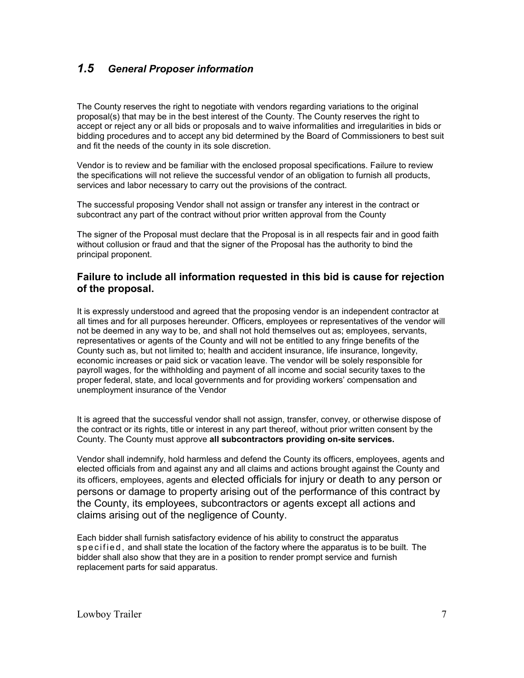## *1.5 General Proposer information*

The County reserves the right to negotiate with vendors regarding variations to the original proposal(s) that may be in the best interest of the County. The County reserves the right to accept or reject any or all bids or proposals and to waive informalities and irregularities in bids or bidding procedures and to accept any bid determined by the Board of Commissioners to best suit and fit the needs of the county in its sole discretion.

Vendor is to review and be familiar with the enclosed proposal specifications. Failure to review the specifications will not relieve the successful vendor of an obligation to furnish all products, services and labor necessary to carry out the provisions of the contract.

The successful proposing Vendor shall not assign or transfer any interest in the contract or subcontract any part of the contract without prior written approval from the County

The signer of the Proposal must declare that the Proposal is in all respects fair and in good faith without collusion or fraud and that the signer of the Proposal has the authority to bind the principal proponent.

#### **Failure to include all information requested in this bid is cause for rejection of the proposal.**

It is expressly understood and agreed that the proposing vendor is an independent contractor at all times and for all purposes hereunder. Officers, employees or representatives of the vendor will not be deemed in any way to be, and shall not hold themselves out as; employees, servants, representatives or agents of the County and will not be entitled to any fringe benefits of the County such as, but not limited to; health and accident insurance, life insurance, longevity, economic increases or paid sick or vacation leave. The vendor will be solely responsible for payroll wages, for the withholding and payment of all income and social security taxes to the proper federal, state, and local governments and for providing workers' compensation and unemployment insurance of the Vendor

It is agreed that the successful vendor shall not assign, transfer, convey, or otherwise dispose of the contract or its rights, title or interest in any part thereof, without prior written consent by the County. The County must approve **all subcontractors providing on-site services.**

Vendor shall indemnify, hold harmless and defend the County its officers, employees, agents and elected officials from and against any and all claims and actions brought against the County and its officers, employees, agents and elected officials for injury or death to any person or persons or damage to property arising out of the performance of this contract by the County, its employees, subcontractors or agents except all actions and claims arising out of the negligence of County.

Each bidder shall furnish satisfactory evidence of his ability to construct the apparatus s p e c if ie d, and shall state the location of the factory where the apparatus is to be built. The bidder shall also show that they are in a position to render prompt service and furnish replacement parts for said apparatus.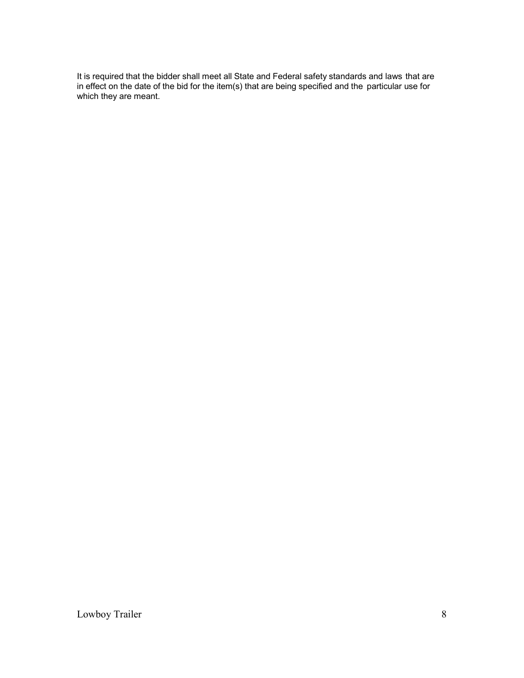It is required that the bidder shall meet all State and Federal safety standards and laws that are in effect on the date of the bid for the item(s) that are being specified and the particular use for which they are meant.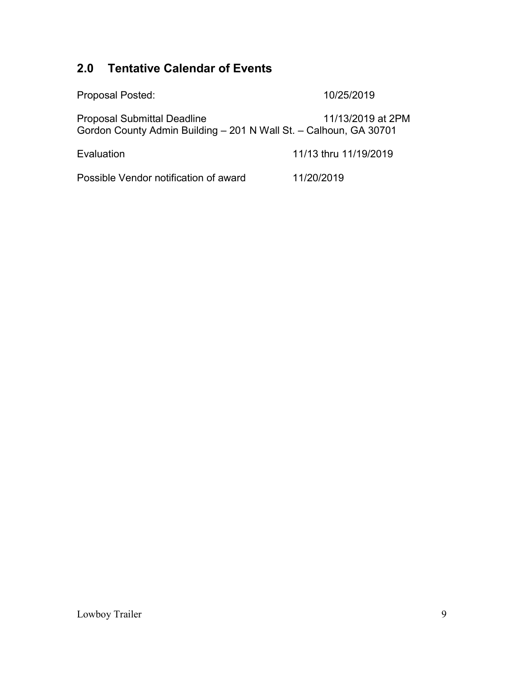# **2.0 Tentative Calendar of Events**

| <b>Proposal Posted:</b>                                                                                 | 10/25/2019            |
|---------------------------------------------------------------------------------------------------------|-----------------------|
| <b>Proposal Submittal Deadline</b><br>Gordon County Admin Building - 201 N Wall St. - Calhoun, GA 30701 | 11/13/2019 at 2PM     |
| Evaluation                                                                                              | 11/13 thru 11/19/2019 |
| Possible Vendor notification of award                                                                   | 11/20/2019            |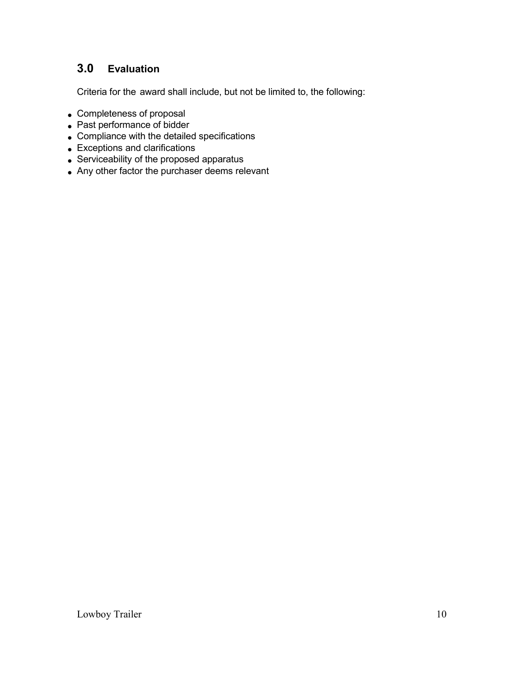## **3.0 Evaluation**

Criteria for the award shall include, but not be limited to, the following:

- Completeness of proposal
- Past performance of bidder
- Compliance with the detailed specifications
- Exceptions and clarifications
- Serviceability of the proposed apparatus
- Any other factor the purchaser deems relevant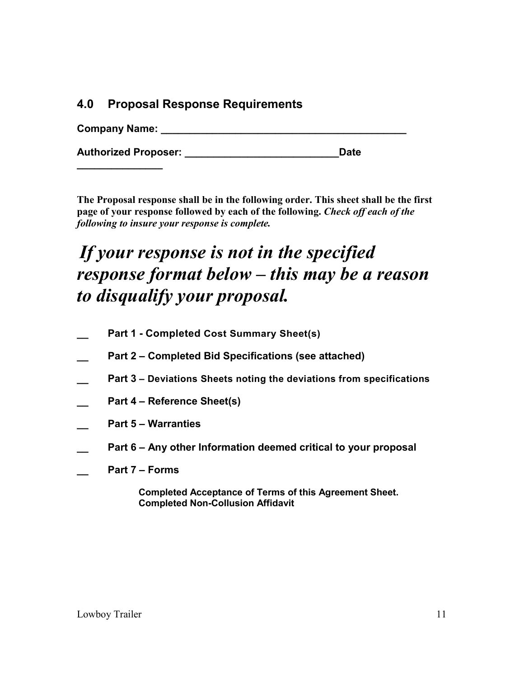## **4.0 Proposal Response Requirements**

| <b>Company Name:</b> |  |  |
|----------------------|--|--|
|                      |  |  |

**Authorized Proposer: \_\_\_\_\_\_\_\_\_\_\_\_\_\_\_\_\_\_\_\_\_\_\_\_\_\_\_Date** 

**The Proposal response shall be in the following order. This sheet shall be the first page of your response followed by each of the following.** *Check off each of the following to insure your response is complete.*

# *If your response is not in the specified response format below – this may be a reason to disqualify your proposal.*

- **\_\_ Part 1 - Completed Cost Summary Sheet(s)**
- **\_\_ Part 2 – Completed Bid Specifications (see attached)**
- **\_\_ Part 3 – Deviations Sheets noting the deviations from specifications**
- **\_\_ Part 4 – Reference Sheet(s)**
- **\_\_ Part 5 – Warranties**
- **\_\_ Part 6 – Any other Information deemed critical to your proposal**
- **\_\_ Part 7 – Forms**

**\_\_\_\_\_\_\_\_\_\_\_\_\_\_\_**

 **Completed Acceptance of Terms of this Agreement Sheet. Completed Non-Collusion Affidavit**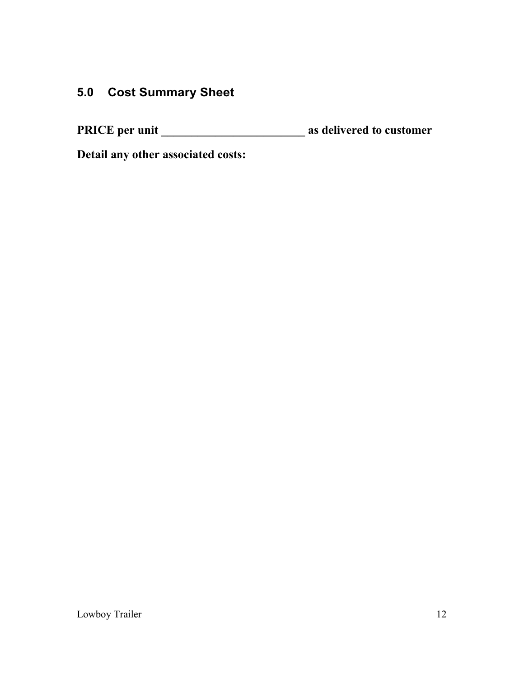# **5.0 Cost Summary Sheet**

**PRICE per unit \_\_\_\_\_\_\_\_\_\_\_\_\_\_\_\_\_\_\_\_\_\_\_\_ as delivered to customer**

**Detail any other associated costs:**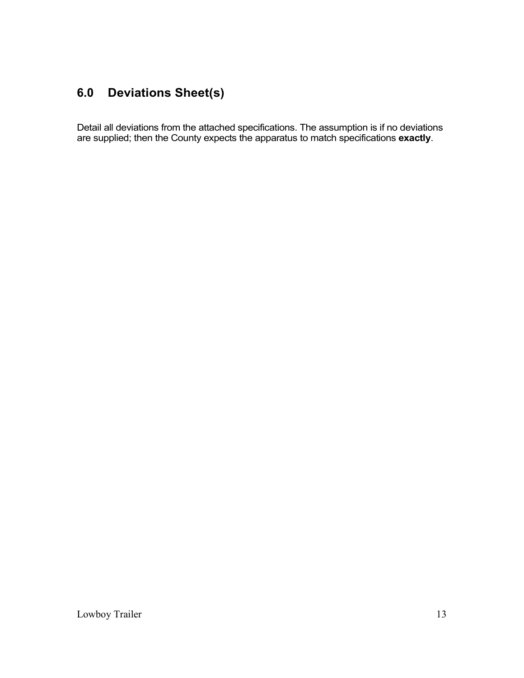# **6.0 Deviations Sheet(s)**

Detail all deviations from the attached specifications. The assumption is if no deviations are supplied; then the County expects the apparatus to match specifications **exactly**.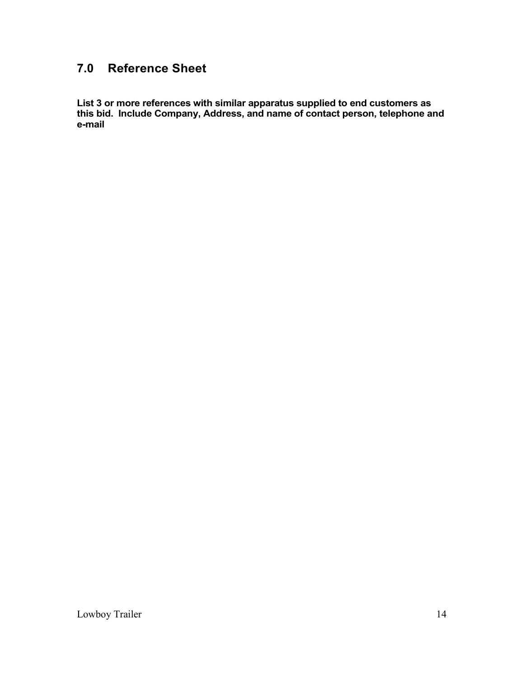# **7.0 Reference Sheet**

**List 3 or more references with similar apparatus supplied to end customers as this bid. Include Company, Address, and name of contact person, telephone and e-mail**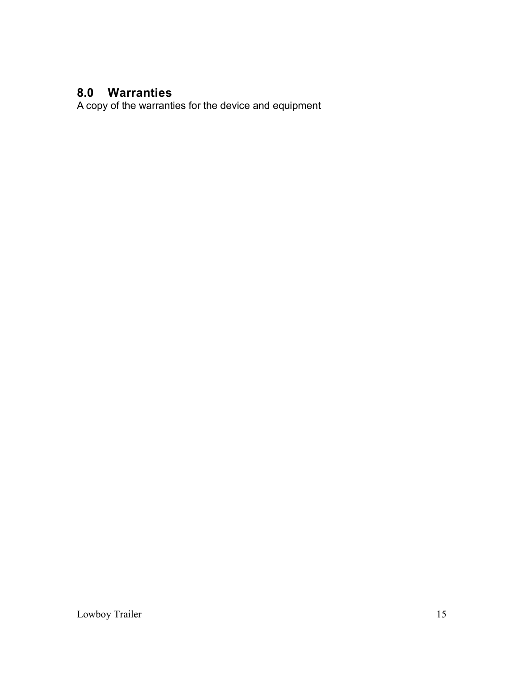# **8.0 Warranties**

A copy of the warranties for the device and equipment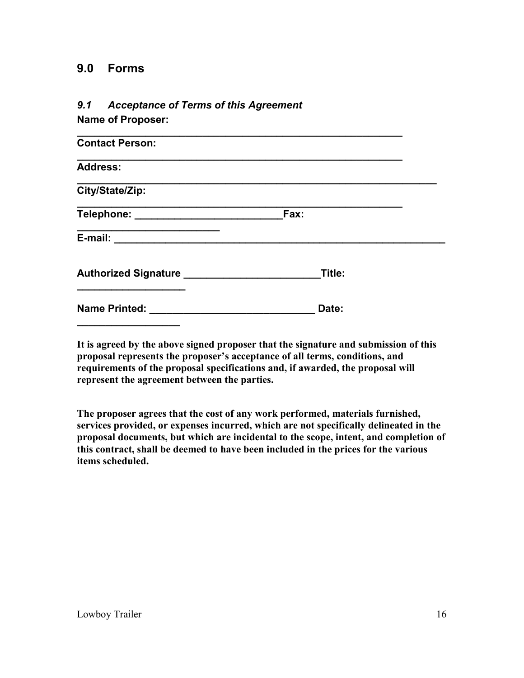## **9.0 Forms**

# *9.1 Acceptance of Terms of this Agreement*

**Name of Proposer:** 

| Fax:                                                 |  |
|------------------------------------------------------|--|
| E-mail: __________________________                   |  |
| Authorized Signature _____________________<br>Title: |  |
| Date:                                                |  |
|                                                      |  |

**It is agreed by the above signed proposer that the signature and submission of this proposal represents the proposer's acceptance of all terms, conditions, and requirements of the proposal specifications and, if awarded, the proposal will represent the agreement between the parties.**

**The proposer agrees that the cost of any work performed, materials furnished, services provided, or expenses incurred, which are not specifically delineated in the proposal documents, but which are incidental to the scope, intent, and completion of this contract, shall be deemed to have been included in the prices for the various items scheduled.**